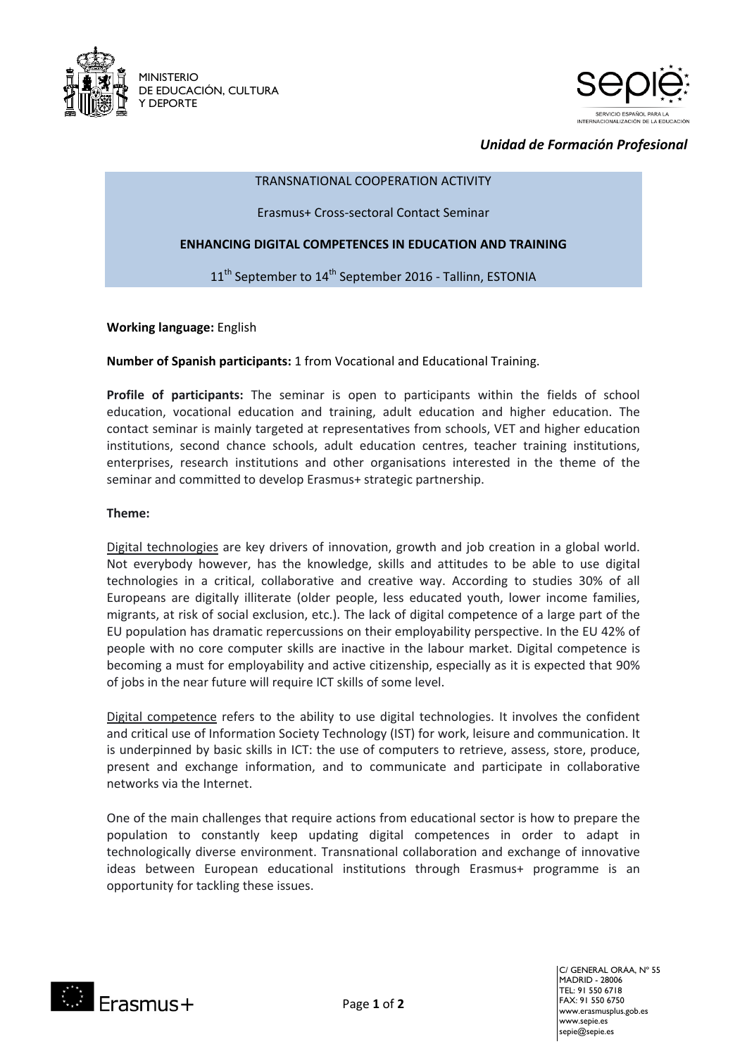



*Unidad de Formación Profesional*

#### TRANSNATIONAL COOPERATION ACTIVITY

Erasmus+ Cross-sectoral Contact Seminar

**ENHANCING DIGITAL COMPETENCES IN EDUCATION AND TRAINING**

 $11<sup>th</sup>$  September to  $14<sup>th</sup>$  September 2016 - Tallinn, ESTONIA

**Working language:** English

# **Number of Spanish participants:** 1 from Vocational and Educational Training.

**Profile of participants:** The seminar is open to participants within the fields of school education, vocational education and training, adult education and higher education. The contact seminar is mainly targeted at representatives from schools, VET and higher education institutions, second chance schools, adult education centres, teacher training institutions, enterprises, research institutions and other organisations interested in the theme of the seminar and committed to develop Erasmus+ strategic partnership.

# **Theme:**

Digital technologies are key drivers of innovation, growth and job creation in a global world. Not everybody however, has the knowledge, skills and attitudes to be able to use digital technologies in a critical, collaborative and creative way. According to studies 30% of all Europeans are digitally illiterate (older people, less educated youth, lower income families, migrants, at risk of social exclusion, etc.). The lack of digital competence of a large part of the EU population has dramatic repercussions on their employability perspective. In the EU 42% of people with no core computer skills are inactive in the labour market. Digital competence is becoming a must for employability and active citizenship, especially as it is expected that 90% of jobs in the near future will require ICT skills of some level.

Digital competence refers to the ability to use digital technologies. It involves the confident and critical use of Information Society Technology (IST) for work, leisure and communication. It is underpinned by basic skills in ICT: the use of computers to retrieve, assess, store, produce, present and exchange information, and to communicate and participate in collaborative networks via the Internet.

One of the main challenges that require actions from educational sector is how to prepare the population to constantly keep updating digital competences in order to adapt in technologically diverse environment. Transnational collaboration and exchange of innovative ideas between European educational institutions through Erasmus+ programme is an opportunity for tackling these issues.